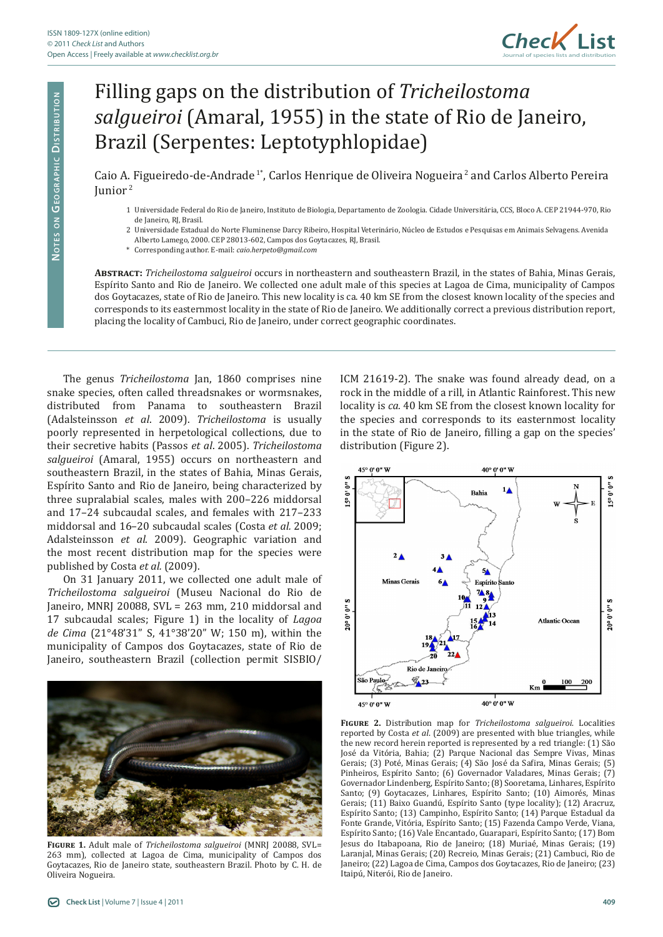

## Filling gaps on the distribution of *Tricheilostoma salgueiroi* (Amaral, 1955) in the state of Rio de Janeiro, Brazil (Serpentes: Leptotyphlopidae)

Caio A. Figueiredo-de-Andrade 1\*, Carlos Henrique de Oliveira Nogueira 2 and Carlos Alberto Pereira Iunior<sup>2</sup>

- 1 Universidade Federal do Rio de Janeiro, Instituto de Biologia, Departamento de Zoologia. Cidade Universitária, CCS, Bloco A. CEP 21944-970, Rio de Janeiro, RJ, Brasil.
- 2 Universidade Estadual do Norte Fluminense Darcy Ribeiro, Hospital Veterinário, Núcleo de Estudos e Pesquisas em Animais Selvagens. Avenida
- Alberto Lamego, 2000. CEP 28013-602, Campos dos Goytacazes, RJ, Brasil.
- \* Corresponding author. E-mail: *caio.herpeto@gmail.com*

**Abstract:** *Tricheilostoma salgueiroi* occurs in northeastern and southeastern Brazil, in the states of Bahia, Minas Gerais, Espírito Santo and Rio de Janeiro. We collected one adult male of this species at Lagoa de Cima, municipality of Campos dos Goytacazes, state of Rio de Janeiro. This new locality is ca. 40 km SE from the closest known locality of the species and corresponds to its easternmost locality in the state of Rio de Janeiro. We additionally correct a previous distribution report, placing the locality of Cambuci, Rio de Janeiro, under correct geographic coordinates.

The genus *Tricheilostoma* Jan, 1860 comprises nine snake species, often called threadsnakes or wormsnakes, distributed from Panama to southeastern Brazil (Adalsteinsson *et al*. 2009). *Tricheilostoma* is usually poorly represented in herpetological collections, due to their secretive habits (Passos *et al*. 2005). *Tricheilostoma salgueiroi* (Amaral, 1955) occurs on northeastern and southeastern Brazil, in the states of Bahia, Minas Gerais, Espírito Santo and Rio de Janeiro, being characterized by three supralabial scales, males with 200–226 middorsal and 17–24 subcaudal scales, and females with 217–233 middorsal and 16–20 subcaudal scales (Costa *et al.* 2009; Adalsteinsson *et al*. 2009). Geographic variation and the most recent distribution map for the species were published by Costa *et al.* (2009).

On 31 January 2011, we collected one adult male of *Tricheilostoma salgueiroi* (Museu Nacional do Rio de Janeiro, MNRJ 20088, SVL = 263 mm, 210 middorsal and 17 subcaudal scales; Figure 1) in the locality of *Lagoa de Cima* (21°48'31" S, 41°38'20" W; 150 m), within the municipality of Campos dos Goytacazes, state of Rio de Janeiro, southeastern Brazil (collection permit SISBIO/



**Figure 1.** Adult male of *Tricheilostoma salgueiroi* (MNRJ 20088, SVL= 263 mm), collected at Lagoa de Cima, municipality of Campos dos Goytacazes, Rio de Janeiro state, southeastern Brazil. Photo by C. H. de Oliveira Nogueira.

ICM 21619-2). The snake was found already dead, on a rock in the middle of a rill, in Atlantic Rainforest. This new locality is *ca.* 40 km SE from the closest known locality for the species and corresponds to its easternmost locality in the state of Rio de Janeiro, filling a gap on the species' distribution (Figure 2).



**Figure 2.** Distribution map for *Tricheilostoma salgueiroi*. Localities reported by Costa *et al*. (2009) are presented with blue triangles, while the new record herein reported is represented by a red triangle: (1) São José da Vitória, Bahia; (2) Parque Nacional das Sempre Vivas, Minas Gerais; (3) Poté, Minas Gerais; (4) São José da Safira, Minas Gerais; (5) Pinheiros, Espírito Santo; (6) Governador Valadares, Minas Gerais; (7) Governador Lindenberg, Espírito Santo; (8) Sooretama, Linhares, Espírito Santo; (9) Goytacazes, Linhares, Espírito Santo; (10) Aimorés, Minas Gerais; (11) Baixo Guandú, Espírito Santo (type locality); (12) Aracruz, Espírito Santo; (13) Campinho, Espírito Santo; (14) Parque Estadual da Fonte Grande, Vitória, Espírito Santo; (15) Fazenda Campo Verde, Viana, Espírito Santo; (16) Vale Encantado, Guarapari, Espírito Santo; (17) Bom Jesus do Itabapoana, Rio de Janeiro; (18) Muriaé, Minas Gerais; (19) Laranjal, Minas Gerais; (20) Recreio, Minas Gerais; (21) Cambuci, Rio de Janeiro; (22) Lagoa de Cima, Campos dos Goytacazes, Rio de Janeiro; (23) Itaipú, Niterói, Rio de Janeiro.